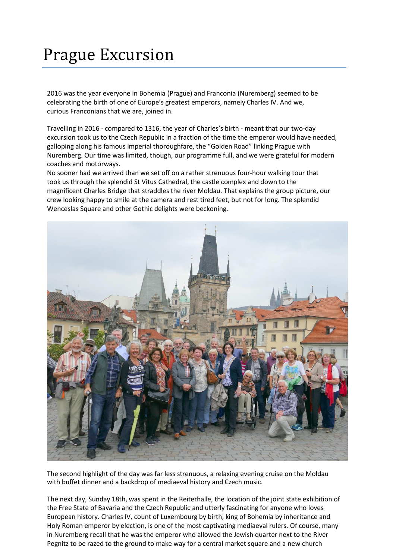## Prague Excursion

2016 was the year everyone in Bohemia (Prague) and Franconia (Nuremberg) seemed to be celebrating the birth of one of Europe's greatest emperors, namely Charles IV. And we, curious Franconians that we are, joined in.

Travelling in 2016 - compared to 1316, the year of Charles's birth - meant that our two-day excursion took us to the Czech Republic in a fraction of the time the emperor would have needed, galloping along his famous imperial thoroughfare, the "Golden Road" linking Prague with Nuremberg. Our time was limited, though, our programme full, and we were grateful for modern coaches and motorways.

No sooner had we arrived than we set off on a rather strenuous four-hour walking tour that took us through the splendid St Vitus Cathedral, the castle complex and down to the magnificent Charles Bridge that straddles the river Moldau. That explains the group picture, our crew looking happy to smile at the camera and rest tired feet, but not for long. The splendid Wenceslas Square and other Gothic delights were beckoning.



The second highlight of the day was far less strenuous, a relaxing evening cruise on the Moldau with buffet dinner and a backdrop of mediaeval history and Czech music.

The next day, Sunday 18th, was spent in the Reiterhalle, the location of the joint state exhibition of the Free State of Bavaria and the Czech Republic and utterly fascinating for anyone who loves European history. Charles IV, count of Luxembourg by birth, king of Bohemia by inheritance and Holy Roman emperor by election, is one of the most captivating mediaeval rulers. Of course, many in Nuremberg recall that he was the emperor who allowed the Jewish quarter next to the River Pegnitz to be razed to the ground to make way for a central market square and a new church